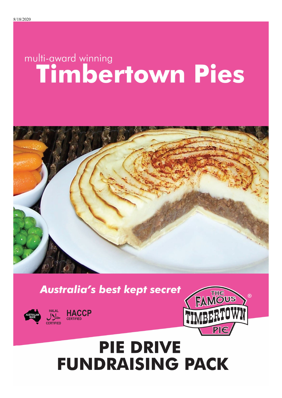# multi-award winning<br>
Timbertown Pies



**Australia's best kept secret** 







## **PIE DRIVE FUNDRAISING PACK**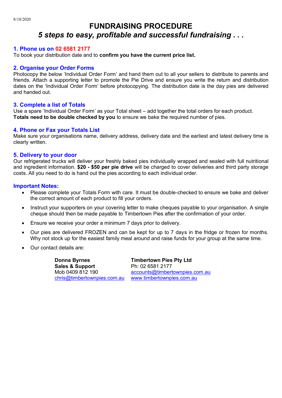#### **FUNDRAISING PROCEDURE** *5 steps to easy, profitable and successful fundraising . . .*

#### **1. Phone us on 02 6581 2177**

To book your distribution date and to **confirm you have the current price list.**

#### **2. Organise your Order Forms**

Photocopy the below 'Individual Order Form' and hand them out to all your sellers to distribute to parents and friends. Attach a supporting letter to promote the Pie Drive and ensure you write the return and distribution dates on the 'Individual Order Form' before photocopying. The distribution date is the day pies are delivered and handed out.

#### **3. Complete a list of Totals**

Use a spare 'Individual Order Form' as your Total sheet – add together the total orders for each product. **Totals need to be double checked by you** to ensure we bake the required number of pies.

#### **4. Phone or Fax your Totals List**

Make sure your organisations name, delivery address, delivery date and the earliest and latest delivery time is clearly written.

#### **5. Delivery to your door**

Our refrigerated trucks will deliver your freshly baked pies individually wrapped and sealed with full nutritional and ingredient information. **\$20 - \$50 per pie drive** will be charged to cover deliveries and third party storage costs. All you need to do is hand out the pies according to each individual order.

#### **Important Notes:**

- Please complete your Totals Form with care. It must be double-checked to ensure we bake and deliver the correct amount of each product to fill your orders.
- Instruct your supporters on your covering letter to make cheques payable to your organisation. A single cheque should then be made payable to Timbertown Pies after the confirmation of your order.
- Ensure we receive your order a minimum 7 days prior to delivery.
- Our pies are delivered FROZEN and can be kept for up to 7 days in the fridge or frozen for months. Why not stock up for the easiest family meal around and raise funds for your group at the same time.
- Our contact details are:

**Donna Byrnes Sales & Support** Mob 0409 812 190 chris@timbertownpies.com.au

**Timbertown Pies Pty Ltd** Ph: 02 6581 2177 accounts@timbertownpies.com.au www.timbertownpies.com.au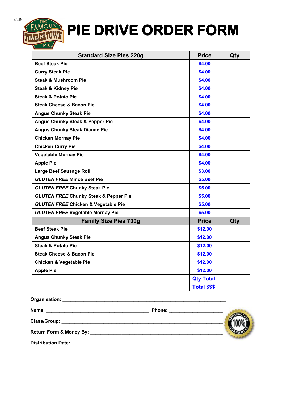## **RTOWN** PIE DRIVE ORDER FORM

| <b>Standard Size Pies 220g</b>                   | <b>Price</b>         | Qty |
|--------------------------------------------------|----------------------|-----|
| <b>Beef Steak Pie</b>                            | \$4.00               |     |
| <b>Curry Steak Pie</b>                           | \$4.00               |     |
| <b>Steak &amp; Mushroom Pie</b>                  | \$4.00               |     |
| <b>Steak &amp; Kidney Pie</b>                    | \$4.00               |     |
| <b>Steak &amp; Potato Pie</b>                    | \$4.00               |     |
| <b>Steak Cheese &amp; Bacon Pie</b>              | \$4.00               |     |
| <b>Angus Chunky Steak Pie</b>                    | \$4.00               |     |
| Angus Chunky Steak & Pepper Pie                  | \$4.00               |     |
| <b>Angus Chunky Steak Dianne Pie</b>             | \$4.00               |     |
| <b>Chicken Mornay Pie</b>                        | \$4.00               |     |
| <b>Chicken Curry Pie</b>                         | \$4.00               |     |
| <b>Vegetable Mornay Pie</b>                      | \$4.00               |     |
| <b>Apple Pie</b>                                 | \$4.00               |     |
| <b>Large Beef Sausage Roll</b>                   | \$3.00               |     |
| <b>GLUTEN FREE Mince Beef Pie</b>                | \$5.00               |     |
| <b>GLUTEN FREE Chunky Steak Pie</b>              | \$5.00               |     |
| <b>GLUTEN FREE Chunky Steak &amp; Pepper Pie</b> | \$5.00               |     |
| <b>GLUTEN FREE Chicken &amp; Vegetable Pie</b>   | \$5.00               |     |
| <b>GLUTEN FREE Vegetable Mornay Pie</b>          | \$5.00               |     |
| <b>Family Size Pies 700g</b>                     | <b>Price</b>         | Qty |
| <b>Beef Steak Pie</b>                            | \$12.00              |     |
| <b>Angus Chunky Steak Pie</b>                    | \$12.00              |     |
| <b>Steak &amp; Potato Pie</b>                    | \$12.00              |     |
| <b>Steak Cheese &amp; Bacon Pie</b>              | \$12.00              |     |
| <b>Chicken &amp; Vegetable Pie</b>               | \$12.00              |     |
| <b>Apple Pie</b>                                 | \$12.00              |     |
|                                                  | <b>Qty Total:</b>    |     |
|                                                  | <b>Total \$\$\$:</b> |     |

| Name:                     | <b>Phone:</b> |
|---------------------------|---------------|
| <b>Class/Group:</b>       |               |
|                           |               |
| <b>Distribution Date:</b> |               |

**Organisation:** \_\_\_\_\_\_\_\_\_\_\_\_\_\_\_\_\_\_\_\_\_\_\_\_\_\_\_\_\_\_\_\_\_\_\_\_\_\_\_\_\_\_\_\_\_\_\_\_\_\_\_\_\_\_\_\_\_\_\_\_\_\_